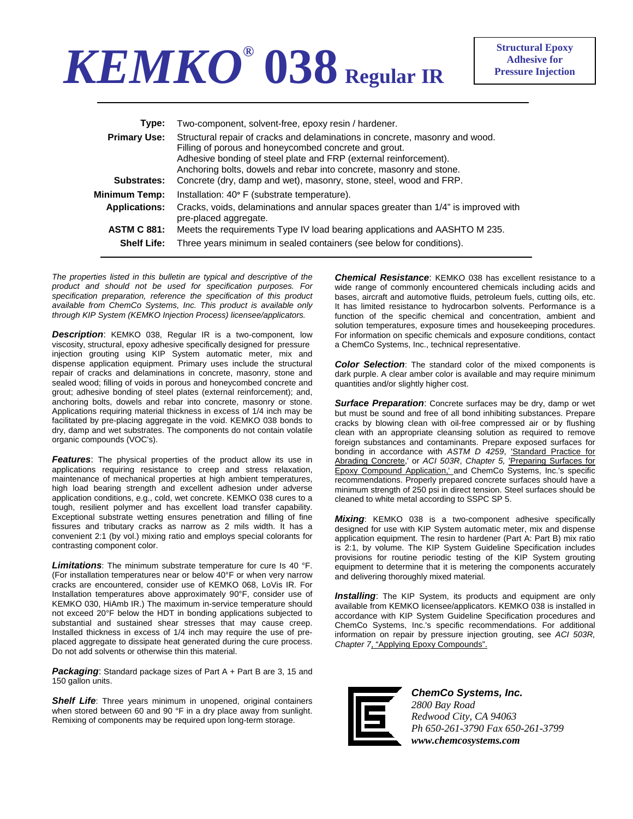## *KEMKO®* **038 Regular IR**

| Type:                | Two-component, solvent-free, epoxy resin / hardener.                                                                                                                                                                                                                              |
|----------------------|-----------------------------------------------------------------------------------------------------------------------------------------------------------------------------------------------------------------------------------------------------------------------------------|
| <b>Primary Use:</b>  | Structural repair of cracks and delaminations in concrete, masonry and wood.<br>Filling of porous and honeycombed concrete and grout.<br>Adhesive bonding of steel plate and FRP (external reinforcement).<br>Anchoring bolts, dowels and rebar into concrete, masonry and stone. |
| Substrates:          | Concrete (dry, damp and wet), masonry, stone, steel, wood and FRP.                                                                                                                                                                                                                |
| Minimum Temp:        | Installation: 40° F (substrate temperature).                                                                                                                                                                                                                                      |
| <b>Applications:</b> | Cracks, voids, delaminations and annular spaces greater than 1/4" is improved with<br>pre-placed aggregate.                                                                                                                                                                       |
| <b>ASTM C 881:</b>   | Meets the requirements Type IV load bearing applications and AASHTO M 235.                                                                                                                                                                                                        |
| <b>Shelf Life:</b>   | Three years minimum in sealed containers (see below for conditions).                                                                                                                                                                                                              |
|                      |                                                                                                                                                                                                                                                                                   |

*The properties listed in this bulletin are typical and descriptive of the product and should not be used for specification purposes. For specification preparation, reference the specification of this product available from ChemCo Systems, Inc. This product is available only through KIP System (KEMKO Injection Process) licensee/applicators.* 

*Description*: KEMKO 038, Regular IR is a two-component, low viscosity, structural, epoxy adhesive specifically designed for pressure injection grouting using KIP System automatic meter, mix and dispense application equipment. Primary uses include the structural repair of cracks and delaminations in concrete, masonry, stone and sealed wood; filling of voids in porous and honeycombed concrete and grout; adhesive bonding of steel plates (external reinforcement); and, anchoring bolts, dowels and rebar into concrete, masonry or stone. Applications requiring material thickness in excess of 1/4 inch may be facilitated by pre-placing aggregate in the void. KEMKO 038 bonds to dry, damp and wet substrates. The components do not contain volatile organic compounds (VOC's).

*Features*: The physical properties of the product allow its use in applications requiring resistance to creep and stress relaxation, maintenance of mechanical properties at high ambient temperatures, high load bearing strength and excellent adhesion under adverse application conditions, e.g., cold, wet concrete. KEMKO 038 cures to a tough, resilient polymer and has excellent load transfer capability. Exceptional substrate wetting ensures penetration and filling of fine fissures and tributary cracks as narrow as 2 mils width. It has a convenient 2:1 (by vol.) mixing ratio and employs special colorants for contrasting component color.

*Limitations*: The minimum substrate temperature for cure Is 40 °F. (For installation temperatures near or below 40°F or when very narrow cracks are encountered, consider use of KEMKO 068, LoVis IR. For Installation temperatures above approximately 90°F, consider use of KEMKO 030, HiAmb IR.) The maximum in-service temperature should not exceed 20°F below the HDT in bonding applications subjected to substantial and sustained shear stresses that may cause creep. Installed thickness in excess of 1/4 inch may require the use of preplaced aggregate to dissipate heat generated during the cure process. Do not add solvents or otherwise thin this material.

Packaging: Standard package sizes of Part A + Part B are 3, 15 and 150 gallon units.

**Shelf Life**: Three years minimum in unopened, original containers when stored between 60 and 90 °F in a dry place away from sunlight. Remixing of components may be required upon long-term storage.

*Chemical Resistance*: KEMKO 038 has excellent resistance to a wide range of commonly encountered chemicals including acids and bases, aircraft and automotive fluids, petroleum fuels, cutting oils, etc. It has limited resistance to hydrocarbon solvents. Performance is a function of the specific chemical and concentration, ambient and solution temperatures, exposure times and housekeeping procedures. For information on specific chemicals and exposure conditions, contact a ChemCo Systems, Inc., technical representative.

*Color Selection*: The standard color of the mixed components is dark purple. A clear amber color is available and may require minimum quantities and/or slightly higher cost.

*Surface Preparation*: Concrete surfaces may be dry, damp or wet but must be sound and free of all bond inhibiting substances. Prepare cracks by blowing clean with oil-free compressed air or by flushing clean with an appropriate cleansing solution as required to remove foreign substances and contaminants. Prepare exposed surfaces for bonding in accordance with *ASTM D 4259*, 'Standard Practice for Abrading Concrete,' or *ACI 503R*, *Chapter 5,* 'Preparing Surfaces for Epoxy Compound Application,' and ChemCo Systems, Inc.'s specific recommendations. Properly prepared concrete surfaces should have a minimum strength of 250 psi in direct tension. Steel surfaces should be cleaned to white metal according to SSPC SP 5.

*Mixing*: KEMKO 038 is a two-component adhesive specifically designed for use with KIP System automatic meter, mix and dispense application equipment. The resin to hardener (Part A: Part B) mix ratio is 2:1, by volume. The KIP System Guideline Specification includes provisions for routine periodic testing of the KIP System grouting equipment to determine that it is metering the components accurately and delivering thoroughly mixed material.

**Installing**: The KIP System, its products and equipment are only available from KEMKO licensee/applicators. KEMKO 038 is installed in accordance with KIP System Guideline Specification procedures and ChemCo Systems, Inc.'s specific recommendations. For additional information on repair by pressure injection grouting, see *ACI 503R, Chapter 7*, "Applying Epoxy Compounds".



*ChemCo Systems, Inc. 2800 Bay Road Redwood City, CA 94063 Ph 650-261-3790 Fax 650-261-3799 www.chemcosystems.com*